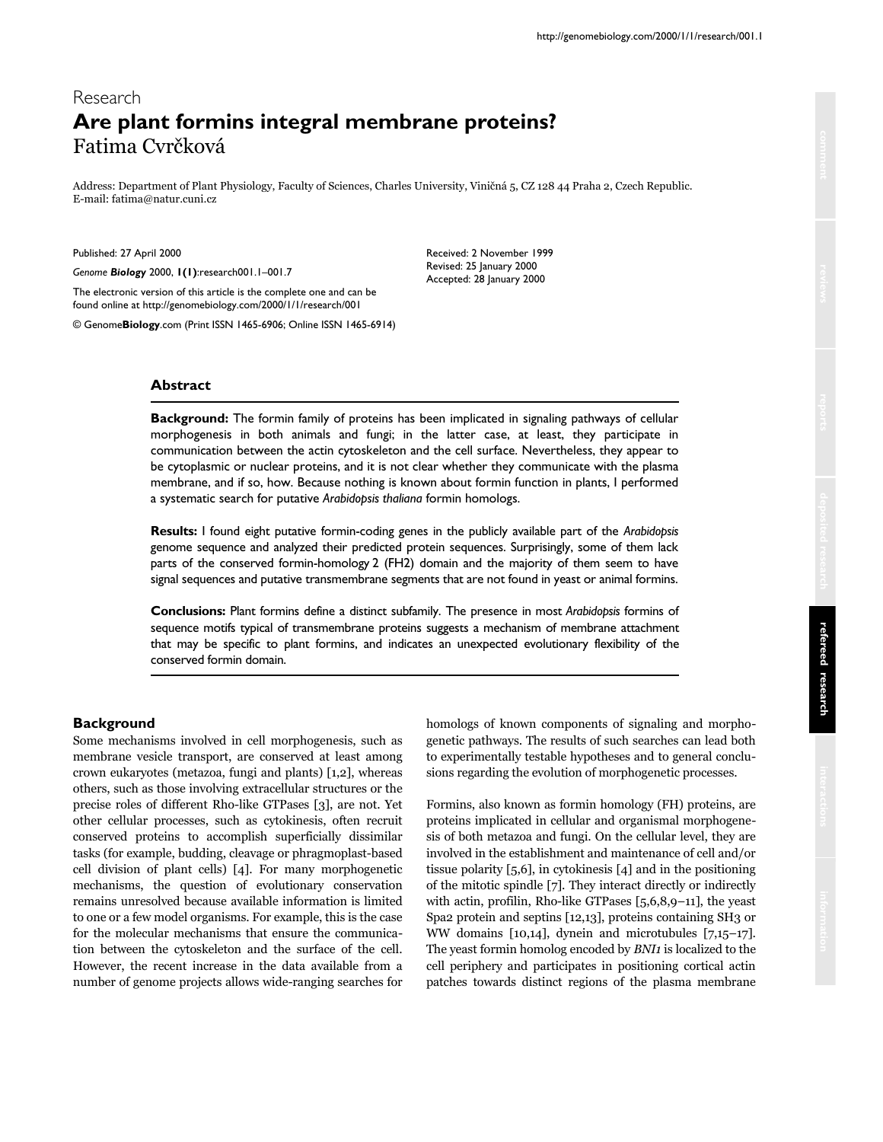# Research **Are plant formins integral membrane proteins?** Fatima Cvrčková

Address: Department of Plant Physiology, Faculty of Sciences, Charles University, Viničná 5, CZ 128 44 Praha 2, Czech Republic. E-mail: fatima@natur.cuni.cz

Published: 27 April 2000

*Genome Biology* 2000, **1(1)**:research001.1–001.7

The electronic version of this article is the complete one and can be found online at http://genomebiology.com/2000/1/1/research/001

© Genome**Biology**.com (Print ISSN 1465-6906; Online ISSN 1465-6914)

Received: 2 November 1999 Revised: 25 January 2000 Accepted: 28 January 2000

# **Abstract**

**Background:** The formin family of proteins has been implicated in signaling pathways of cellular morphogenesis in both animals and fungi; in the latter case, at least, they participate in communication between the actin cytoskeleton and the cell surface. Nevertheless, they appear to be cytoplasmic or nuclear proteins, and it is not clear whether they communicate with the plasma membrane, and if so, how. Because nothing is known about formin function in plants, I performed a systematic search for putative *Arabidopsis thaliana* formin homologs.

**Results:** I found eight putative formin-coding genes in the publicly available part of the *Arabidopsis* genome sequence and analyzed their predicted protein sequences. Surprisingly, some of them lack parts of the conserved formin-homology 2 (FH2) domain and the majority of them seem to have signal sequences and putative transmembrane segments that are not found in yeast or animal formins.

**Conclusions:** Plant formins define a distinct subfamily. The presence in most *Arabidopsis* formins of sequence motifs typical of transmembrane proteins suggests a mechanism of membrane attachment that may be specific to plant formins, and indicates an unexpected evolutionary flexibility of the conserved formin domain.

# **Background**

Some mechanisms involved in cell morphogenesis, such as membrane vesicle transport, are conserved at least among crown eukaryotes (metazoa, fungi and plants) [1,2], whereas others, such as those involving extracellular structures or the precise roles of different Rho-like GTPases [3], are not. Yet other cellular processes, such as cytokinesis, often recruit conserved proteins to accomplish superficially dissimilar tasks (for example, budding, cleavage or phragmoplast-based cell division of plant cells) [4]. For many morphogenetic mechanisms, the question of evolutionary conservation remains unresolved because available information is limited to one or a few model organisms. For example, this is the case for the molecular mechanisms that ensure the communication between the cytoskeleton and the surface of the cell. However, the recent increase in the data available from a number of genome projects allows wide-ranging searches for

homologs of known components of signaling and morphogenetic pathways. The results of such searches can lead both to experimentally testable hypotheses and to general conclusions regarding the evolution of morphogenetic processes.

Formins, also known as formin homology (FH) proteins, are proteins implicated in cellular and organismal morphogenesis of both metazoa and fungi. On the cellular level, they are involved in the establishment and maintenance of cell and/or tissue polarity [5,6], in cytokinesis [4] and in the positioning of the mitotic spindle [7]. They interact directly or indirectly with actin, profilin, Rho-like GTPases [5,6,8,9–11], the yeast Spa2 protein and septins [12,13], proteins containing SH3 or WW domains [10,14], dynein and microtubules [7,15–17]. The yeast formin homolog encoded by *BNI1* is localized to the cell periphery and participates in positioning cortical actin patches towards distinct regions of the plasma membrane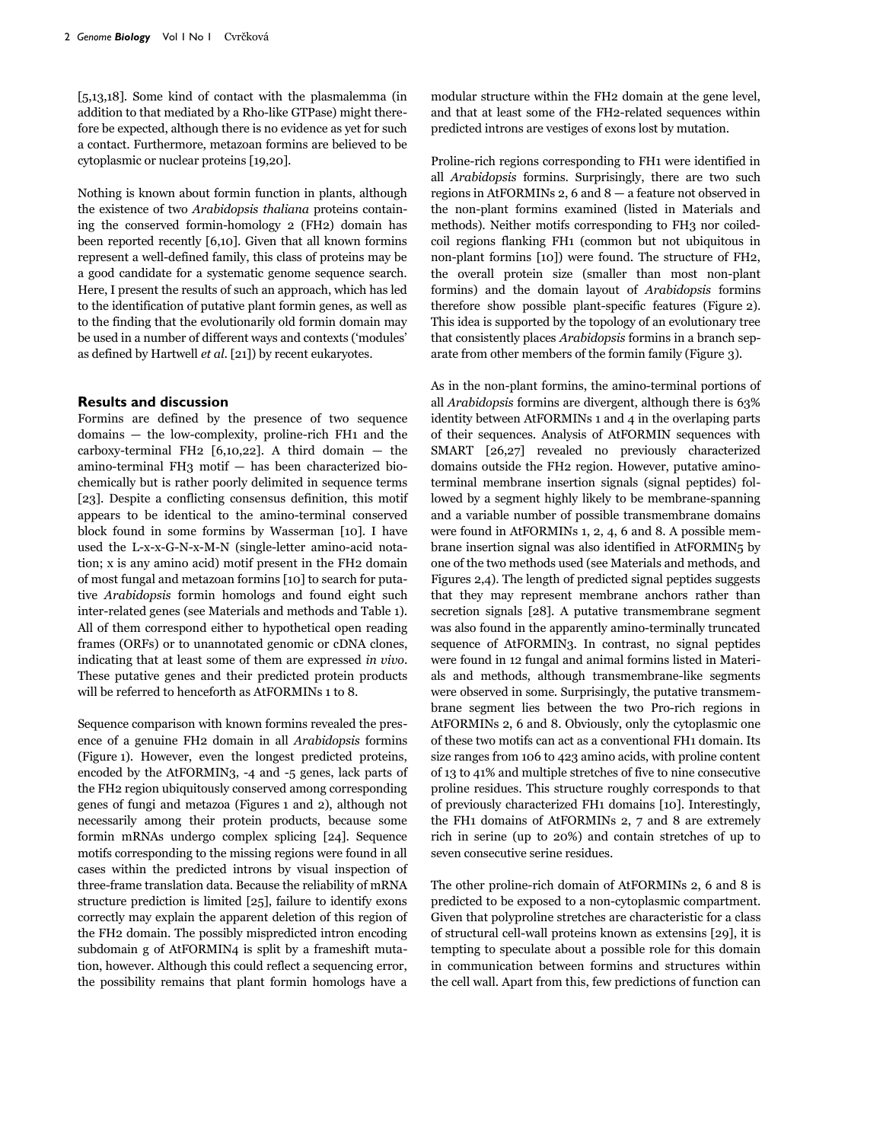[5,13,18]. Some kind of contact with the plasmalemma (in addition to that mediated by a Rho-like GTPase) might therefore be expected, although there is no evidence as yet for such a contact. Furthermore, metazoan formins are believed to be cytoplasmic or nuclear proteins [19,20].

Nothing is known about formin function in plants, although the existence of two *Arabidopsis thaliana* proteins containing the conserved formin-homology 2 (FH2) domain has been reported recently [6,10]. Given that all known formins represent a well-defined family, this class of proteins may be a good candidate for a systematic genome sequence search. Here, I present the results of such an approach, which has led to the identification of putative plant formin genes, as well as to the finding that the evolutionarily old formin domain may be used in a number of different ways and contexts ('modules' as defined by Hartwell *et al*. [21]) by recent eukaryotes.

#### **Results and discussion**

Formins are defined by the presence of two sequence domains — the low-complexity, proline-rich FH1 and the carboxy-terminal FH2 [6,10,22]. A third domain  $-$  the amino-terminal FH3 motif — has been characterized biochemically but is rather poorly delimited in sequence terms [23]. Despite a conflicting consensus definition, this motif appears to be identical to the amino-terminal conserved block found in some formins by Wasserman [10]. I have used the L-x-x-G-N-x-M-N (single-letter amino-acid notation; x is any amino acid) motif present in the FH2 domain of most fungal and metazoan formins [10] to search for putative *Arabidopsis* formin homologs and found eight such inter-related genes (see Materials and methods and Table 1). All of them correspond either to hypothetical open reading frames (ORFs) or to unannotated genomic or cDNA clones, indicating that at least some of them are expressed *in vivo*. These putative genes and their predicted protein products will be referred to henceforth as AtFORMINs 1 to 8.

Sequence comparison with known formins revealed the presence of a genuine FH2 domain in all *Arabidopsis* formins (Figure 1). However, even the longest predicted proteins, encoded by the AtFORMIN3, -4 and -5 genes, lack parts of the FH2 region ubiquitously conserved among corresponding genes of fungi and metazoa (Figures 1 and 2), although not necessarily among their protein products, because some formin mRNAs undergo complex splicing [24]. Sequence motifs corresponding to the missing regions were found in all cases within the predicted introns by visual inspection of three-frame translation data. Because the reliability of mRNA structure prediction is limited [25], failure to identify exons correctly may explain the apparent deletion of this region of the FH2 domain. The possibly mispredicted intron encoding subdomain g of AtFORMIN4 is split by a frameshift mutation, however. Although this could reflect a sequencing error, the possibility remains that plant formin homologs have a

modular structure within the FH2 domain at the gene level, and that at least some of the FH2-related sequences within predicted introns are vestiges of exons lost by mutation.

Proline-rich regions corresponding to FH1 were identified in all *Arabidopsis* formins. Surprisingly, there are two such regions in AtFORMINs 2, 6 and 8 — a feature not observed in the non-plant formins examined (listed in Materials and methods). Neither motifs corresponding to FH3 nor coiledcoil regions flanking FH1 (common but not ubiquitous in non-plant formins [10]) were found. The structure of FH2, the overall protein size (smaller than most non-plant formins) and the domain layout of *Arabidopsis* formins therefore show possible plant-specific features (Figure 2). This idea is supported by the topology of an evolutionary tree that consistently places *Arabidopsis* formins in a branch separate from other members of the formin family (Figure 3).

As in the non-plant formins, the amino-terminal portions of all *Arabidopsis* formins are divergent, although there is 63% identity between AtFORMINs 1 and 4 in the overlaping parts of their sequences. Analysis of AtFORMIN sequences with SMART [26,27] revealed no previously characterized domains outside the FH2 region. However, putative aminoterminal membrane insertion signals (signal peptides) followed by a segment highly likely to be membrane-spanning and a variable number of possible transmembrane domains were found in AtFORMINs 1, 2, 4, 6 and 8. A possible membrane insertion signal was also identified in AtFORMIN5 by one of the two methods used (see Materials and methods, and Figures 2,4). The length of predicted signal peptides suggests that they may represent membrane anchors rather than secretion signals [28]. A putative transmembrane segment was also found in the apparently amino-terminally truncated sequence of AtFORMIN3. In contrast, no signal peptides were found in 12 fungal and animal formins listed in Materials and methods, although transmembrane-like segments were observed in some. Surprisingly, the putative transmembrane segment lies between the two Pro-rich regions in AtFORMINs 2, 6 and 8. Obviously, only the cytoplasmic one of these two motifs can act as a conventional FH1 domain. Its size ranges from 106 to 423 amino acids, with proline content of 13 to 41% and multiple stretches of five to nine consecutive proline residues. This structure roughly corresponds to that of previously characterized FH1 domains [10]. Interestingly, the FH1 domains of AtFORMINs 2, 7 and 8 are extremely rich in serine (up to 20%) and contain stretches of up to seven consecutive serine residues.

The other proline-rich domain of AtFORMINs 2, 6 and 8 is predicted to be exposed to a non-cytoplasmic compartment. Given that polyproline stretches are characteristic for a class of structural cell-wall proteins known as extensins [29], it is tempting to speculate about a possible role for this domain in communication between formins and structures within the cell wall. Apart from this, few predictions of function can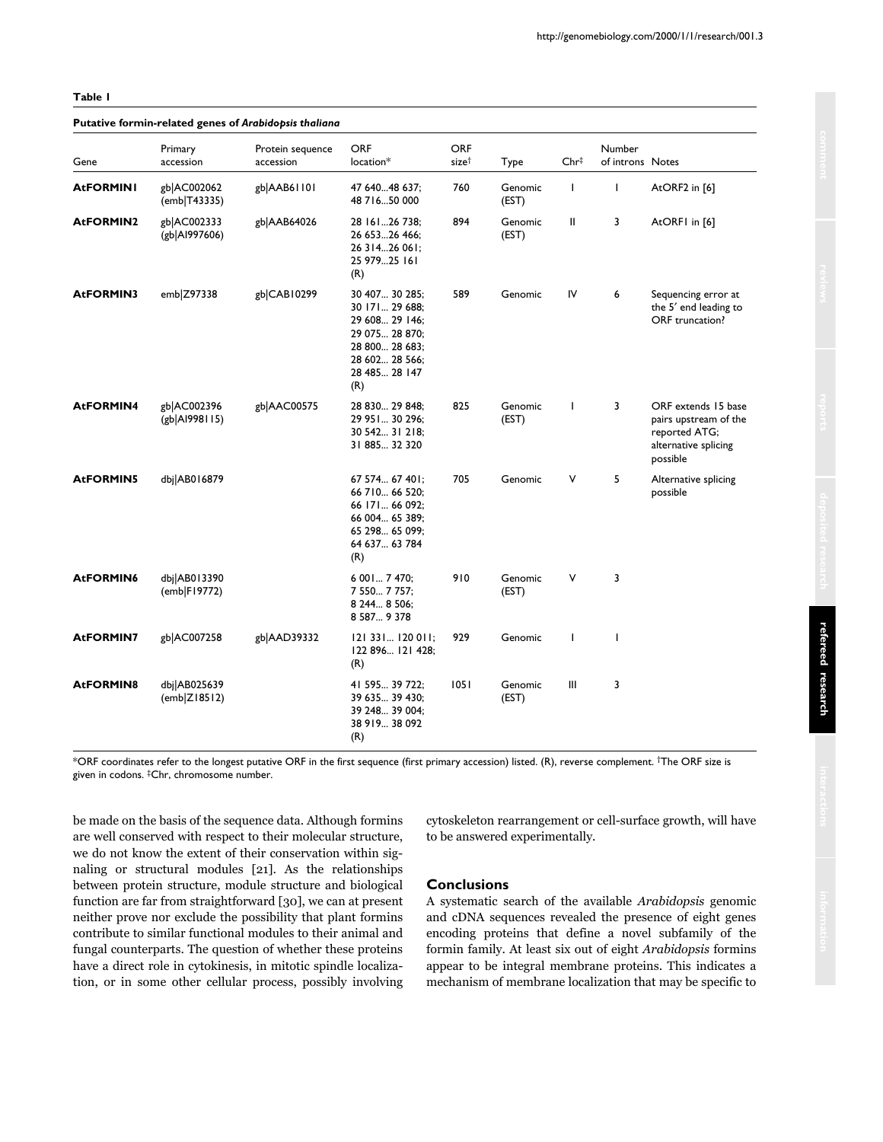**Putative formin-related genes of** *Arabidopsis thaliana*

# Primary **Protein sequence ORF** ORF ORF Number Gene accession accession location\* size† Type Chr‡ of introns Notes **AtFORMINI** gb|AC002062 gb|AAB61101 47 640...48 637; 760 Genomic I I AtORF2 in [6] (emb|T43335) 48 716...50 000 (EST) **AtFORMIN2** gb|AC002333 gb|AAB64026 28 161...26 738; 894 Genomic II 3 AtORF1 in [6] (gb|AI997606) 26 653...26 466; (EST) 26 314...26 061; 25 979...25 161 (R) **AtFORMIN3** emb|Z97338 gb|CAB10299 30 407... 30 285; 589 Genomic IV 6 Sequencing error at<br>30 171... 29 688; end leading to the 5' end leading to 29 608... 29 146; ORF truncation? 29 075... 28 870; 28 800... 28 683; 28 602... 28 566; 28 485... 28 147 (R) **AtFORMIN4** gb|AC002396 gb|AAC00575 28 830... 29 848; 825 Genomic I 3 ORF extends 15 base<br>(gb|Al998115) 29 951... 30 296; (EST) pairs upstream of the  $(EST)$  pairs upstream of the 30 542... 31 218; reported ATG; alternative splicing possible AtFORMIN5 dbj|AB016879 67 574... 67 401; 705 Genomic V 5 Alternative splicing 66 710... 66 520; possible 66 171... 66 092; 66 004... 65 389; 65 298... 65 099; 64 637... 63 784 (R) **AtFORMIN6** dbj|AB013390 6001... 7 470; 910 Genomic V 3 (emb|F19772) 7 550... 7 757; (EST) 8 244... 8 506; 8 587... 9 378 **AtFORMIN7** gb|AC007258 gb|AAD39332 121 331... 120 011; 929 Genomic I 1 122 896... 121 428;

\*ORF coordinates refer to the longest putative ORF in the first sequence (first primary accession) listed. (R), reverse complement. †The ORF size is given in codons. ‡Chr, chromosome number.

39 248... 39 004; 38 919... 38 092

(R) **AtFORMIN8** dbj|AB025639 41 595... 39 722; 1051 Genomic III 3 (emb|Z18512) 39 635... 39 430; (EST)

(R)

be made on the basis of the sequence data. Although formins are well conserved with respect to their molecular structure, we do not know the extent of their conservation within signaling or structural modules [21]. As the relationships between protein structure, module structure and biological function are far from straightforward [30], we can at present neither prove nor exclude the possibility that plant formins contribute to similar functional modules to their animal and fungal counterparts. The question of whether these proteins have a direct role in cytokinesis, in mitotic spindle localization, or in some other cellular process, possibly involving

cytoskeleton rearrangement or cell-surface growth, will have to be answered experimentally.

#### **Conclusions**

A systematic search of the available *Arabidopsis* genomic and cDNA sequences revealed the presence of eight genes encoding proteins that define a novel subfamily of the formin family. At least six out of eight *Arabidopsis* formins appear to be integral membrane proteins. This indicates a mechanism of membrane localization that may be specific to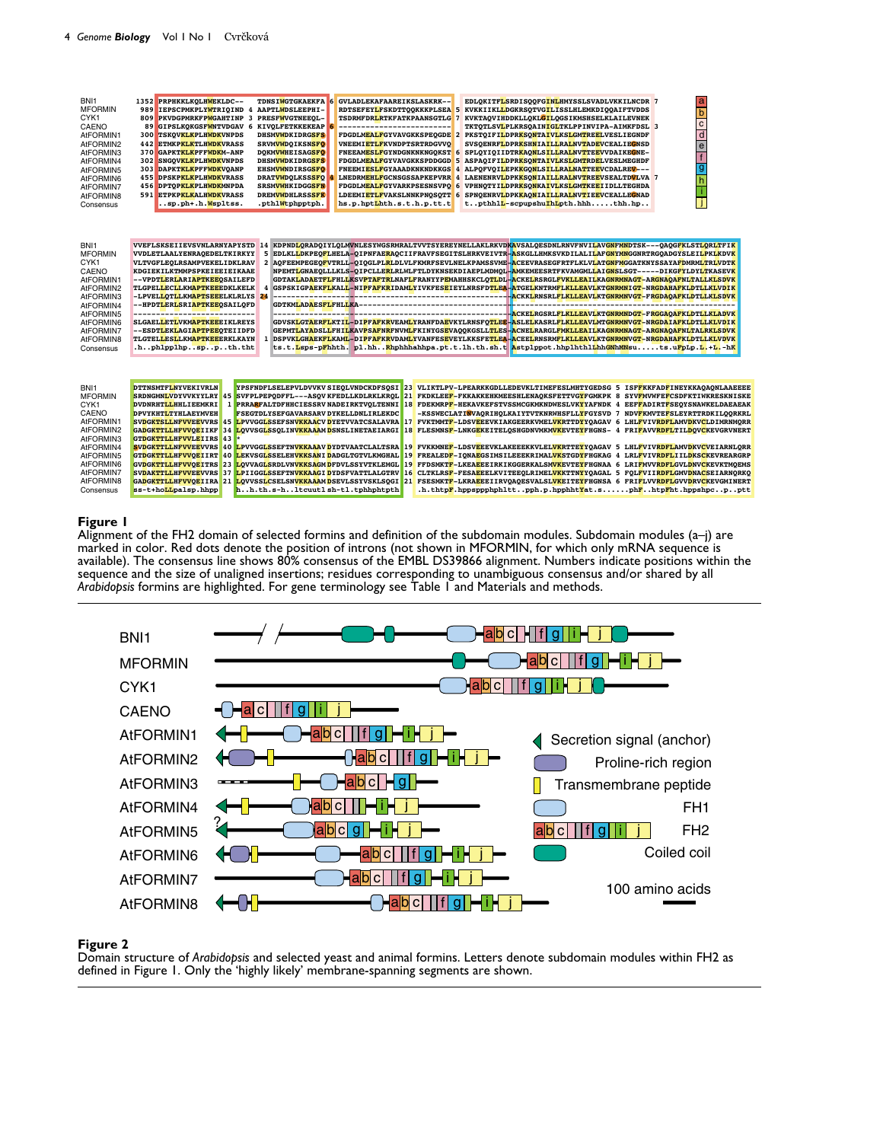| BNI <sub>1</sub><br><b>MFORMIN</b><br>CYK <sub>1</sub><br>CAENO<br>AtFORMIN1<br>AtFORMIN2<br>AtFORMIN3<br>AtFORMIN4<br>AtFORMIN5<br>AtFORMIN6<br>AtFORMIN7<br>AtFORMIN8<br>Consensus | PRPHKKLKOLHWEKLDC--<br>1352<br>989<br><b>IEPSCPMKPLYWTRIQIND</b><br>4<br>809<br>PKVDGPMRKFPWGAHTINP<br>3<br>89<br>GIPSLKOKGSFWNTVDGAV 6 KIVOLFETKKEKEAP<br>300<br><b>TSKOVKLKPLHWDKVNPDS</b><br><b>ETMKPKLKTLHWDKVRASS</b><br>442<br>370<br>GAPKTKLKPFFWDKM-ANP<br>302<br><b>SNGOVKLKPLHWDKVNPDS</b><br>303<br><b>DAPKTKLKPFFWDKVOANP</b><br>455<br><b>DPSKPKLKPLHWDKVRASS</b><br>456<br><b>DPTOPKLKPLHWDKMNPDA</b><br>591<br><b>ETPKPKLKALHWDKVRASS</b><br>.sp.ph+.h. Wspltss. | <b>TDNSIWGTGKAEKFA</b><br>GVLADLEKAFAAREIKSLASKRK--<br>-6<br>AAPTLWDSLEEPHI-<br><b>PRESFWVGTNEEQL-</b><br><b>TSDRMFDRLRTKFATKPAANSGTLG</b><br>-------------------------<br><b>DHSMVWDKIDRGSFS</b><br><b>SRVMVWDQIKSNSFO</b><br><b>VNEEMIETLFKVNDPTSRTRDGVVQ</b><br><b>DOKMVWHEISAGSFO</b><br><b>DHSMVWDKIDRGSFS</b><br><b>FDGDLMEALFGYVAVGKKSPDDGGD</b><br><b>EHSMVWNDIRSGSFO</b><br><b>FNEEMIESLFGYAAADKNKNDKKGS</b><br><b>DRATVWDOLKSSSFO</b><br><b>LNEDRMEHLFGCNSGSSAPKEPVRR</b><br><b>SRSMVWHKIDGGSFN</b><br><b>FDGDLMEALFGYVARKPSESNSVPO</b><br><b>DREMVWDHLRSSSFK</b><br>LDEEMIETLFVAKSLNNKPNOSOTT 6<br>hs.p.hptLhth.s.t.h.p.tt.t<br>.pthlWtphpptph. | a<br>EDLOKITFLSRDISOOFGINLHMYSSLSVADLVKKILNCDR 7<br>RDTSEFEYLFSKDTTQQKKKPLSEA 5 KVKKIIKLLDGKRSQTVGILISSLHLEMKDIQQAIFTVDDS<br>$\overline{b}$<br>KVKTAQVIHDDKLLQKLGILQGSIKMSHSELKLAILEVNEK<br>$\overline{c}$<br>TKTOTLSVLPLKRSOAINIGLTKLPPINVIPA-AIMKFDSL <sup>3</sup><br>$\overline{d}$<br>FDGDLMEALFGYVAVGKKSPEQGDE 2 PKSTQIFILDPRKSONTAIVLKSLGMTREELVESLIEGNDF<br>$\overline{e}$<br>SVSQENRFLDPRKSHNIAILLRALNVTADEVCEALIEGNSD<br>FNEEAMESLFGYNDGNKNKNGQKST 6 SPLQYIQIIDTR <mark>KAQNLSILLRALNVTTEE</mark> VVDAIKE <mark>G</mark> NE-<br>f<br>5 ASPAQIFILDPRKSONTAIVLKSLGMTRDELVESLMEGHDF<br>$\overline{g}$<br>4 ALPOFVOILEPKKGONLSILLRALNATTEEVCDALREV---<br>LAENENRVLDPKKSONIAILLRALNVTREEVSEALTDVLVA 7<br>4<br>$\overline{h}$<br>VPHNQTYILDPRKSONKAIVLKSLGMTKEEIIDLLTEGHDA<br>6<br>SPNOENRVLDPKKAONIAILLRALNVTIEEVCEALLEGNAD<br>tpthhlL-scpupshuIhLpth.hhhthh.hp                                                                                                                                                                                                                                                                                                                                                                                                                                                                                                                                                                                                                                                                                                                                                                                                                                                                                                                                                                                                                                                                                                                                                        |
|--------------------------------------------------------------------------------------------------------------------------------------------------------------------------------------|---------------------------------------------------------------------------------------------------------------------------------------------------------------------------------------------------------------------------------------------------------------------------------------------------------------------------------------------------------------------------------------------------------------------------------------------------------------------------------|------------------------------------------------------------------------------------------------------------------------------------------------------------------------------------------------------------------------------------------------------------------------------------------------------------------------------------------------------------------------------------------------------------------------------------------------------------------------------------------------------------------------------------------------------------------------------------------------------------------------------------------------------------|----------------------------------------------------------------------------------------------------------------------------------------------------------------------------------------------------------------------------------------------------------------------------------------------------------------------------------------------------------------------------------------------------------------------------------------------------------------------------------------------------------------------------------------------------------------------------------------------------------------------------------------------------------------------------------------------------------------------------------------------------------------------------------------------------------------------------------------------------------------------------------------------------------------------------------------------------------------------------------------------------------------------------------------------------------------------------------------------------------------------------------------------------------------------------------------------------------------------------------------------------------------------------------------------------------------------------------------------------------------------------------------------------------------------------------------------------------------------------------------------------------------------------------------------------------------------------------------------------------------------------------------------------------------------------------------------------------------------------------------------------------------------------------------------------------------------------------------------------------------------------------------------------------------------------------------------------------------------------------------------------------------------------|
| BNI1<br><b>MFORMIN</b><br>CYK <sub>1</sub><br>CAENO<br>AtFORMIN1<br>AtFORMIN2<br>AtFORMIN3<br>AtFORMIN4<br>AtFORMIN5<br>AtFORMIN6<br>AtFORMIN7<br>AtFORMIN8<br>Consensus             | VVEFLSKSEIIEVSVNLARNYAPYSTD<br>VVDLETLAALYENRAQEDELTKIRKYY<br>VLTVGFLEQLRSAMPVEKELIDKLRAV<br>KDGIEKILKTMMPSPKEIEEIEIKAAE<br>--VPDTLERLARIAPTKEEQSAILEFD<br><b>TLGPEL<mark>L</mark>ECLLKMAPTKEEEDKLKELK</b><br>-LPVEL <mark>L</mark> OTLLKMAPTSEEELKLRLYS<br>--HPDTLERLSRIAPTKEEOSAILOFD<br>--------------------------<br><b>SLGAELLETLVKMAPTKEEEIKLREYS</b><br>--ESDTLEKLAGIAPTPEEOTEIIDFD<br><b>TLGTEL<mark>LESL</mark>LKMAPTKEEERKLKAYN</b><br>.hphlpplhpsppth.tht            | 4<br>24                                                                                                                                                                                                                                                                                                                                                                                                                                                                                                                                                                                                                                                    | 14 KDPND <mark>L</mark> QRADQIYLQLMVNLESYWGSRMRALTVVTSYEREYNELLAKLRKVDKAVSALQESDNLRNVFNVIL <mark>AVGNFMN</mark> DTSK---QAQG <mark>F</mark> KLST <mark>LQRL</mark> TFI <mark>K</mark><br>5 EDLKL <mark>L</mark> DKPEQ <mark>F</mark> LHELA-QIPNFAE <mark>R</mark> AQCIIFRAVFSEGITSLHRKVEIVTR- <mark>A</mark> SKGLLHMKSVKDILALI <mark>LAFGNYMN</mark> GGNRTRGQADGYSLEI <mark>LPKLKDVK</mark><br>2 AQFEEMPEGEQ <mark>F</mark> VTRLL-QIQGLPL <mark>R</mark> LDLVLFKMRFSEVLNELKPAMSSVME- <mark>A</mark> CEEVRASEGFRTFLKLVL <mark>ATGNFM</mark> GGATKNYSSAYA <mark>FD</mark> MRML <mark>TRLVDTK</mark><br>NPEMT <mark>L</mark> GNAEQLLLKLS-QIPCLLE <mark>R</mark> LRLWLFTLDYKNSEKDIAEPLMDMQL- <mark>A</mark> MKEMEESRTFKVAMGML <mark>L</mark> AI <mark>GN</mark> SLSGT-----DIKGFYLDYL <mark>T</mark> KASEV <mark>K</mark><br>GDTAK <mark>L</mark> AD <mark>AETFLFHLLKSVPTAFTR</mark> LNAFLFRANYYP <mark>E</mark> MAHHSKCLQ <mark>TL</mark> DL- <mark>A</mark> CKELRSRGLFVKLLEAILKAGNRMNAGT-ARGNAQAFNLTALLKLSDVK<br>GSPSKIGP <mark>AEKFLKALL</mark> -NI <mark>PFAFKR</mark> IDAM <mark>L</mark> YIVKFES <mark>E</mark> IEYLNRSFD <mark>TLEA-A</mark> TGE <mark>L</mark> KNTRMFLKLLEAVLKTGNRMNIGT-NRGDAHAFKLDTLLKLVDIK<br>---------------------- <mark>-ACKEL</mark> RGSRL <mark>FLKLLEAVLKTGNRMNDGT-FRGGAQAFKLDTLLKLADVK</mark><br>GDVSK <mark>L</mark> GT <mark>AERFLKTIL-DIPFAFKR</mark> VEAMLYRANFDA <mark>E</mark> VKYLRNSFQ <mark>TLEE-A</mark> SLELKASRL <mark>FLKLLEAVLMTGNRMNVGT-NRGDAIAFKLDTLLKLVDIK</mark><br>GEPMT <mark>L</mark> AY <mark>A</mark> DSL <mark>L</mark> FHILKAV <mark>PSAFNRFNVML</mark> FKINYGS <mark>E</mark> VAQQKGSLL <mark>TL</mark> ES-ACNELRARGLF <mark>MKLLEAILKAGNRMNAGT-ARGNAQAFNLTALRKLSDVK</mark><br>1 DSPVK <mark>LGHAEKFL</mark> KAM <mark>L-DIPFAFKR</mark> VDAMLYVANFES <mark>E</mark> VEYLKKSFE <mark>TLEA-ACEEL</mark> RNSRMFL <mark>KLLEAVLKTGNRMNVGT-NRGDAHAFKLDTLLKLVDVK</mark><br>ts.t.Lsps-pFhhth.pl.hhRhphhhahhpa.pt.t.lh.th.sh.t Astplppot.hhplhthlLhhGNhMNsuts.uFpLp.L.+L.-hK |
| BNI1<br><b>MFORMIN</b><br>CYK1<br>CAENO<br>AtFORMIN1<br>AtFORMIN2<br>AtFORMIN3<br>AtFORMIN4<br>AtFORMIN5<br>AtFORMIN6<br>AtFORMIN7<br>AtFORMIN8<br>Consensus                         | <b>DTTNSMTFLNYVEKIVRLN</b><br>SRDNGMNLVDYVVKYYLRY 45<br>$\mathbf{1}$<br><b>DVDNRHTLLHHLIEEMKRI</b><br><b>DPVYKHTLTYHLAEYMVEH</b><br>SVDGKTSLLNFVVEEVVRS 45<br>GADGKTTLLHFVVOEIIKF 34<br><b>GTDGKTTLLHFVVLEIIRS</b><br>43<br><b>SVDGKTTLLNFVVEEVVRS</b><br>40<br><b>GTDGKTTLLHFVVOEIIRT</b><br>40<br><b>GVDGKTTLLHFVVQEITRS</b><br>23<br>SVDAKTTLLHFVVEEVVRS 37<br>ss-t+hoLLpalsp.hhpp                                                                                           | YPSFNDFLSELEPVLDVVKV SIEOLVNDCKDFSOSI<br>SVFPLPEPODFFL---ASQV KFEDLLKDLRKLKROL<br><b>FSEGTDLYSEFGAVARSARV DYKELLDNLIRLEKDC</b><br>LPVVGGLSSEFSNVKKAACV DYETVVATCSALAVRA<br>LOVVSGLSSOLINVKKAAAM DSNSLINETAEIARGI<br>LPVVGGLSSEFTNVKKAAAV DYDTVAATCLALTSRA<br>LEKVSGLSSELEHVKKSANI DADGLTGTVLKMGHAL<br>LOVVAGLSRDLVNVKKSAGMDFDVLSSYVTKLEMGL<br>LPIIGGLSSEFTNVKKAAGI DYDSFVATTLALGTRV<br>hh.th.s-hltcuutlsh-tl.tphhphtpth                                                                                                                                                                                                                                    | 23 VLIKTLPV-LPEARKKGDLLEDEVKLTIMEFESLMHTYGEDSG 5 ISFFKKFADFINEYKKAOAONLAAEEEE<br>21 FKDKLEEF-FKKAKKEHKMEESHLENAQKSFETTVGYFGMKPK 8 SYVFMVWFEFCSDFKTIWKRESKNISKE<br>PRRA <mark>R</mark> FALTDFHHCIESSRV NADEIRKTVQLTENNI 18 FDEKMRP <mark>F</mark> -HEKAVKEFSTVSSMCGKMKNDWESLVK <mark>Y</mark> YAFNDK 4 EEF <mark>F</mark> ADIRT <mark>F</mark> SEQYSNAWKELDAEAEAK<br>-KSSWECLATI <mark>N</mark> VAQRIHQLKAIYTVTKNRWHSFLL <mark>Y</mark> FGYSVD 7 NDV <mark>F</mark> KMVTE <mark>F</mark> SLEYRTTRDKILQQRKRL<br>17 FVKTMMTF-LDSVEEEVKIAKGEERKVMEL <mark>VK</mark> RTTDYYQAGAV 6 LHL <mark>FVIVRDFL</mark> AMVDKVCLDIMRNMQRR<br>18 FLESMNSF-LNKGEKEITELOSHGDNVMKMVKEVTEYFHGNS- 4 FRIFAVVRDFLTILDOVCKEVGRVNERT<br>19 FVKKMNEF-LDSVEEEVKLAKEEEKKVLELVKRTTEYYOAGAV 5 LHLFVIVRDFLAMVDKVCVEIARNLORR<br>19 FREALEDF-IONAEGSIMSILEEEKRIMAL <mark>VK</mark> STGDYFHGKAG<br>$\overline{4}$<br>LRLFVIVRDFLIILDKSCKEVREARGRP<br>19 FFDSMKTF-LKEAEEEIRKIKGGERKALSMVKEVTEYFHGNAA 6 LRIFMVVRDFLGVLDNVCKEVKTMQEMS<br>16 CLTKLRSF-FESAEEELKVITEEQLRIMELVKKTTNYYQAGAL 5 FQLFVIIRDFLGMVDNACSEIARNQRKQ<br>GA <mark>DGKTTLLHFVVOE</mark> IIRA 21 LOVVSSLCSELSNVKKAAAMDSEVLSSYVSKLSOGI 21 FSESMKTF-LKRA <mark>E</mark> EEIIRVOAOESVALSL <mark>VK</mark> EITE <mark>Y</mark> FHGNSA 6 FRIFLVVRDFLGVVDRVCKEVGMINERT<br>.h.thtpF.hppsppphphlttpph.p.hpphhtYat.sphFhtpFht.hppshpcpptt                                                                                                                                                                                                                                                                                                                                                                                                                                                                                                                                                                                                                                                                  |

# **Figure 1**

Alignment of the FH2 domain of selected formins and definition of the subdomain modules. Subdomain modules (a–j) are marked in color. Red dots denote the position of introns (not shown in MFORMIN, for which only mRNA sequence is available). The consensus line shows 80% consensus of the EMBL DS39866 alignment. Numbers indicate positions within the sequence and the size of unaligned insertions; residues corresponding to unambiguous consensus and/or shared by all *Arabidopsis* formins are highlighted. For gene terminology see Table 1 and Materials and methods.



# **Figure 2**

Domain structure of *Arabidopsis* and selected yeast and animal formins. Letters denote subdomain modules within FH2 as defined in Figure 1. Only the 'highly likely' membrane-spanning segments are shown.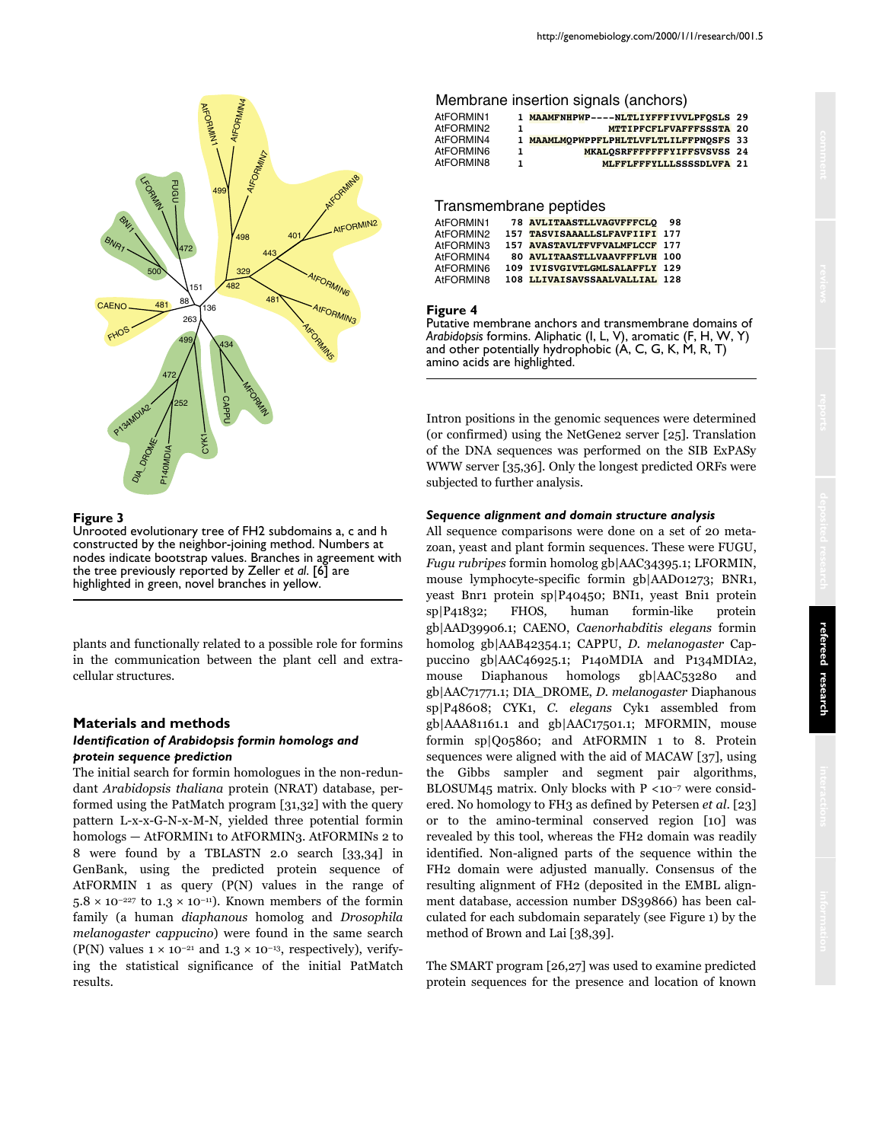

# **Figure 3**

Unrooted evolutionary tree of FH2 subdomains a, c and h constructed by the neighbor-joining method. Numbers at nodes indicate bootstrap values. Branches in agreement with the tree previously reported by Zeller *et al*. [6] are highlighted in green, novel branches in yellow.

plants and functionally related to a possible role for formins in the communication between the plant cell and extracellular structures.

# **Materials and methods**

#### *Identification of Arabidopsis formin homologs and protein sequence prediction*

The initial search for formin homologues in the non-redundant *Arabidopsis thaliana* protein (NRAT) database, performed using the PatMatch program [31,32] with the query pattern L-x-x-G-N-x-M-N, yielded three potential formin homologs — AtFORMIN1 to AtFORMIN3. AtFORMINs 2 to 8 were found by a TBLASTN 2.0 search [33,34] in GenBank, using the predicted protein sequence of AtFORMIN 1 as query (P(N) values in the range of  $5.8 \times 10^{-227}$  to  $1.3 \times 10^{-11}$ ). Known members of the formin family (a human *diaphanous* homolog and *Drosophila melanogaster cappucino*) were found in the same search (P(N) values  $1 \times 10^{-21}$  and  $1.3 \times 10^{-13}$ , respectively), verifying the statistical significance of the initial PatMatch results.

# Membrane insertion signals (anchors)

| AtFORMIN1 |    | 1 MAAMFNHPWP----NLTLIYFFFIVVLPFOSLS 29 |  |
|-----------|----|----------------------------------------|--|
| AtFORMIN2 | т. | MTTIPFCFLFVAFFFSSSTA 20                |  |
| AtFORMIN4 |    | 1 MAAMLMOPWPPFLPHLTLVFLTLILFFPNOSFS 33 |  |
| AtFORMIN6 | 1. | MKALOSRFFFFFFFYIFFSVSVSS 24            |  |
| AtFORMIN8 | 1  | MLFFLFFFYLLLSSSSDLVFA 21               |  |

## Transmembrane peptides

| AtFORMIN1 | <b>78 AVLITAASTLLVAGVFFFCLO</b> | 98 |
|-----------|---------------------------------|----|
| AtFORMIN2 | 157 TASVISAAALLSLFAVFIIFI 177   |    |
| AtFORMIN3 | 157 AVASTAVLTFVFVALMFLCCF 177   |    |
| AtFORMIN4 | 80 AVLITAASTLLVAAVFFFLVH 100    |    |
| AtFORMIN6 | 109 IVISVGIVTLGMLSALAFFLY 129   |    |
| AtFORMIN8 | 108 LLIVAISAVSSAALVALLIAL 128   |    |

#### **Figure 4**

Putative membrane anchors and transmembrane domains of *Arabidopsis* formins. Aliphatic (I, L, V), aromatic (F, H, W, Y) and other potentially hydrophobic (A, C, G, K, M, R, T) amino acids are highlighted.

Intron positions in the genomic sequences were determined (or confirmed) using the NetGene2 server [25]. Translation of the DNA sequences was performed on the SIB ExPASy WWW server [35,36]. Only the longest predicted ORFs were subjected to further analysis.

#### *Sequence alignment and domain structure analysis*

All sequence comparisons were done on a set of 20 metazoan, yeast and plant formin sequences. These were FUGU, *Fugu rubripes* formin homolog gb|AAC34395.1; LFORMIN, mouse lymphocyte-specific formin gb|AAD01273; BNR1, yeast Bnr1 protein sp|P40450; BNI1, yeast Bni1 protein sp|P41832; FHOS, human formin-like protein gb|AAD39906.1; CAENO, *Caenorhabditis elegans* formin homolog gb|AAB42354.1; CAPPU, *D. melanogaster* Cappuccino gb|AAC46925.1; P140MDIA and P134MDIA2, mouse Diaphanous homologs gb|AAC53280 and gb|AAC71771.1; DIA\_DROME, *D. melanogaster* Diaphanous sp|P48608; CYK1, *C. elegans* Cyk1 assembled from gb|AAA81161.1 and gb|AAC17501.1; MFORMIN, mouse formin sp|Q05860; and AtFORMIN 1 to 8. Protein sequences were aligned with the aid of MACAW [37], using the Gibbs sampler and segment pair algorithms, BLOSUM45 matrix. Only blocks with  $P \le 10^{-7}$  were considered. No homology to FH3 as defined by Petersen *et al*. [23] or to the amino-terminal conserved region [10] was revealed by this tool, whereas the FH2 domain was readily identified. Non-aligned parts of the sequence within the FH2 domain were adjusted manually. Consensus of the resulting alignment of FH2 (deposited in the EMBL alignment database, accession number DS39866) has been calculated for each subdomain separately (see Figure 1) by the method of Brown and Lai [38,39].

The SMART program [26,27] was used to examine predicted protein sequences for the presence and location of known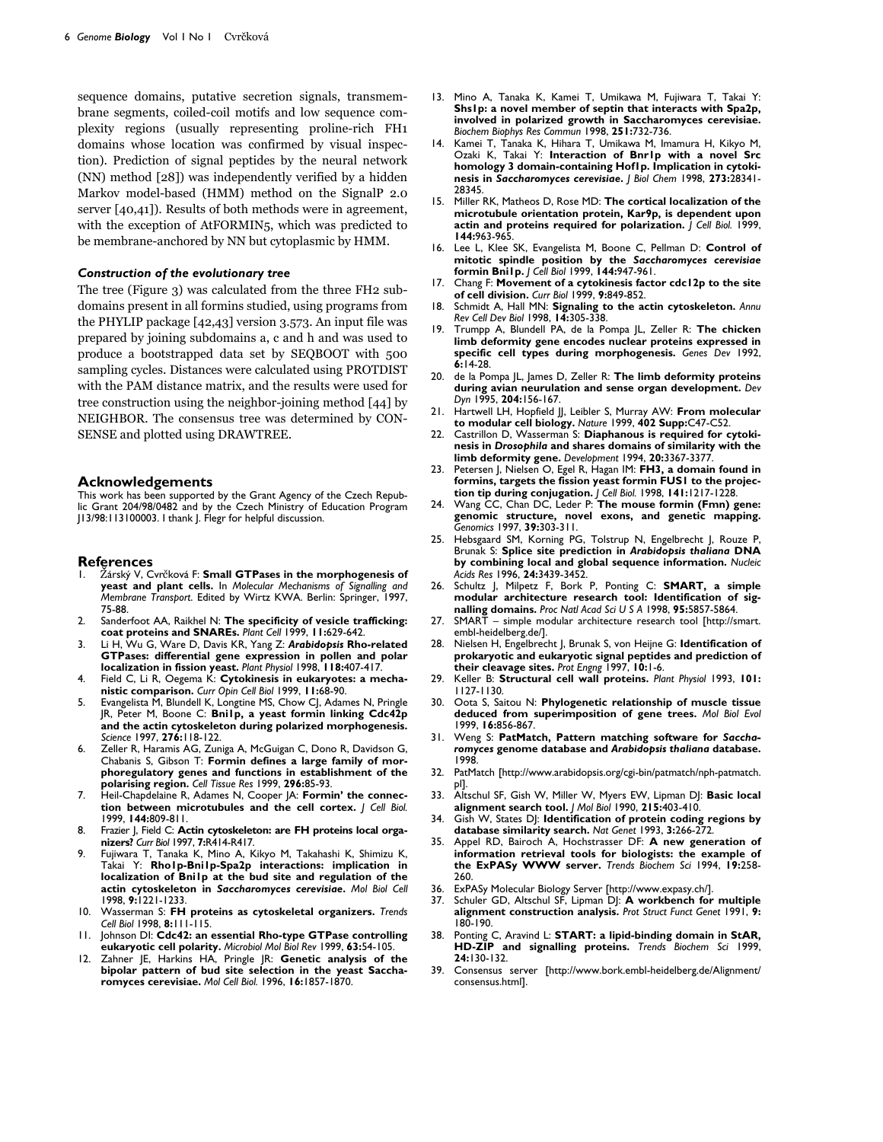sequence domains, putative secretion signals, transmembrane segments, coiled-coil motifs and low sequence complexity regions (usually representing proline-rich FH1 domains whose location was confirmed by visual inspection). Prediction of signal peptides by the neural network (NN) method [28]) was independently verified by a hidden Markov model-based (HMM) method on the SignalP 2.0 server [40,41]). Results of both methods were in agreement, with the exception of AtFORMIN<sub>5</sub>, which was predicted to be membrane-anchored by NN but cytoplasmic by HMM.

#### *Construction of the evolutionary tree*

The tree (Figure 3) was calculated from the three FH2 subdomains present in all formins studied, using programs from the PHYLIP package [42,43] version 3.573. An input file was prepared by joining subdomains a, c and h and was used to produce a bootstrapped data set by SEQBOOT with 500 sampling cycles. Distances were calculated using PROTDIST with the PAM distance matrix, and the results were used for tree construction using the neighbor-joining method [44] by NEIGHBOR. The consensus tree was determined by CON-SENSE and plotted using DRAWTREE.

#### **Acknowledgements**

This work has been supported by the Grant Agency of the Czech Republic Grant 204/98/0482 and by the Czech Ministry of Education Program J13/98:113100003. I thank J. Flegr for helpful discussion.

#### **References**

- 1. Zárský V, Cvrčková F: **Small GTPases in the morphogenesis of yeast and plant cells.** In *Molecular Mechanisms of Signalling and Membrane Transport*. Edited by Wirtz KWA. Berlin: Springer, 1997, 75-88.
- 2. Sanderfoot AA, Raikhel N: **The specificity of vesicle trafficking: coat proteins and SNAREs.** *Plant Cell* 1999, **11:**629-642.
- 3. Li H, Wu G, Ware D, Davis KR, Yang Z: *Arabidopsis* **Rho-related GTPases: differential gene expression in pollen and polar localization in fission yeast.** *Plant Physiol* 1998, **118:**407-417.
- 4. Field C, Li R, Oegema K: **Cytokinesis in eukaryotes: a mechanistic comparison.** *Curr Opin Cell Biol* 1999, **11:**68-90.
- 5. Evangelista M, Blundell K, Longtine MS, Chow CJ, Adames N, Pringle JR, Peter M, Boone C: **Bni1p, a yeast formin linking Cdc42p and the actin cytoskeleton during polarized morphogenesis.** *Science* 1997, **276:**118-122.
- Zeller R, Haramis AG, Zuniga A, McGuigan C, Dono R, Davidson G, Chabanis S, Gibson T: **Formin defines a large family of morphoregulatory genes and functions in establishment of the polarising region.** *Cell Tissue Res* 1999, **296:**85-93.
- Heil-Chapdelaine R, Adames N, Cooper |A: **Formin' the connection between microtubules and the cell cortex.** *J Cell Biol.* 1999, **144:**809-811.
- 8. Frazier J, Field C: **Actin cytoskeleton: are FH proteins local organizers?** *Curr Biol* 1997, **7:**R414-R417.
- 9. Fujiwara T, Tanaka K, Mino A, Kikyo M, Takahashi K, Shimizu K, Takai Y: **Rho1p-Bni1p-Spa2p interactions: implication in localization of Bni1p at the bud site and regulation of the actin cytoskeleton in** *Saccharomyces cerevisiae***.** *Mol Biol Cell* 1998, **9:**1221-1233.
- 10. Wasserman S: **FH proteins as cytoskeletal organizers.** *Trends Cell Biol* 1998, **8:**111-115.
- 11. Johnson DI: **Cdc42: an essential Rho-type GTPase controlling eukaryotic cell polarity.** *Microbiol Mol Biol Rev* 1999, **63:**54-105.
- 12. Zahner JE, Harkins HA, Pringle JR: **Genetic analysis of the bipolar pattern of bud site selection in the yeast Saccharomyces cerevisiae.** *Mol Cell Biol.* 1996, **16:**1857-1870.
- 13. Mino A, Tanaka K, Kamei T, Umikawa M, Fujiwara T, Takai Y: **Shs1p: a novel member of septin that interacts with Spa2p, involved in polarized growth in Saccharomyces cerevisiae.** *Biochem Biophys Res Commun* 1998, **251:**732-736.
- 14. Kamei T, Tanaka K, Hihara T, Umikawa M, Imamura H, Kikyo M, Ozaki K, Takai Y: **Interaction of Bnr1p with a novel Src homology 3 domain-containing Hof1p. Implication in cytokinesis in** *Saccharomyces cerevisiae***.** *J Biol Chem* 1998, **273:**28341- 28345.
- 15. Miller RK, Matheos D, Rose MD: **The cortical localization of the microtubule orientation protein, Kar9p, is dependent upon actin and proteins required for polarization.** *J Cell Biol.* 1999, **144:**963-965.
- 16. Lee L, Klee SK, Evangelista M, Boone C, Pellman D: **Control of mitotic spindle position by the** *Saccharomyces cerevisiae* **formin Bni1p.** *J Cell Biol* 1999, **144:**947-961.
- 17. Chang F: **Movement of a cytokinesis factor cdc12p to the site of cell division.** *Curr Biol* 1999, **9:**849-852.
- 18. Schmidt A, Hall MN: **Signaling to the actin cytoskeleton.** *Annu Rev Cell Dev Biol* 1998, **14:**305-338.
- 19. Trumpp A, Blundell PA, de la Pompa JL, Zeller R: **The chicken limb deformity gene encodes nuclear proteins expressed in specific cell types during morphogenesis.** *Genes Dev* 1992, **6:**14-28.
- 20. de la Pompa JL, James D, Zeller R: **The limb deformity proteins during avian neurulation and sense organ development.** *Dev Dyn* 1995, **204:**156-167.
- 21. Hartwell LH, Hopfield JJ, Leibler S, Murray AW: **From molecular to modular cell biology.** *Nature* 1999, **402 Supp:**C47-C52.
- 22. Castrillon D, Wasserman S: **Diaphanous is required for cytokinesis in** *Drosophila* **and shares domains of similarity with the limb deformity gene.** *Development* 1994, **20:**3367-3377.
- 23. Petersen J, Nielsen O, Egel R, Hagan IM: **FH3, a domain found in formins, targets the fission yeast formin FUS1 to the projection tip during conjugation.** *J Cell Biol.* 1998, **141:**1217-1228.
- 24. Wang CC, Chan DC, Leder P: **The mouse formin (Fmn) gene: genomic structure, novel exons, and genetic mapping.** *Genomics* 1997, **39:**303-311.
- 25. Hebsgaard SM, Korning PG, Tolstrup N, Engelbrecht J, Rouze P, Brunak S: **Splice site prediction in** *Arabidopsis thaliana* **DNA by combining local and global sequence information.** *Nucleic Acids Res* 1996, **24:**3439-3452.
- 26. Schultz J, Milpetz F, Bork P, Ponting C: **SMART, a simple modular architecture research tool: Identification of signalling domains.** *Proc Natl Acad Sci U S A* 1998, **95:**5857-5864.
- 27. SMART simple modular architecture research tool [http://smart. embl-heidelberg.de/].
- 28. Nielsen H, Engelbrecht J, Brunak S, von Heijne G: **Identification of prokaryotic and eukaryotic signal peptides and prediction of their cleavage sites.** *Prot Engng* 1997, **10:**1-6.
- 29. Keller B: **Structural cell wall proteins.** *Plant Physiol* 1993, **101:** 1127-1130.
- 30. Oota S, Saitou N: **Phylogenetic relationship of muscle tissue deduced from superimposition of gene trees.** *Mol Biol Evol* 1999, **16:**856-867.
- 31. Weng S: **PatMatch, Pattern matching software for** *Saccharomyces* **genome database and** *Arabidopsis thaliana* **database.** 1998.
- 32. PatMatch [http://www.arabidopsis.org/cgi-bin/patmatch/nph-patmatch. pl].
- 33. Altschul SF, Gish W, Miller W, Myers EW, Lipman DJ: **Basic local alignment search tool.** *J Mol Biol* 1990, **215:**403-410.
- 34. Gish W, States DJ: **Identification of protein coding regions by database similarity search.** *Nat Genet* 1993, **3:**266-272.
- 35. Appel RD, Bairoch A, Hochstrasser DF: **A new generation of information retrieval tools for biologists: the example of the ExPASy WWW server.** *Trends Biochem Sci* 1994, **19:**258- 260.
- 36. ExPASy Molecular Biology Server [http://www.expasy.ch/].
- 37. Schuler GD, Altschul SF, Lipman DJ: **A workbench for multiple alignment construction analysis.** *Prot Struct Funct Genet* 1991, **9:** 180-190.
- 38. Ponting C, Aravind L: **START: a lipid-binding domain in StAR, HD-ZIP and signalling proteins.** *Trends Biochem Sci* 1999, **24:**130-132.
- 39. Consensus server [http://www.bork.embl-heidelberg.de/Alignment/ consensus.html].